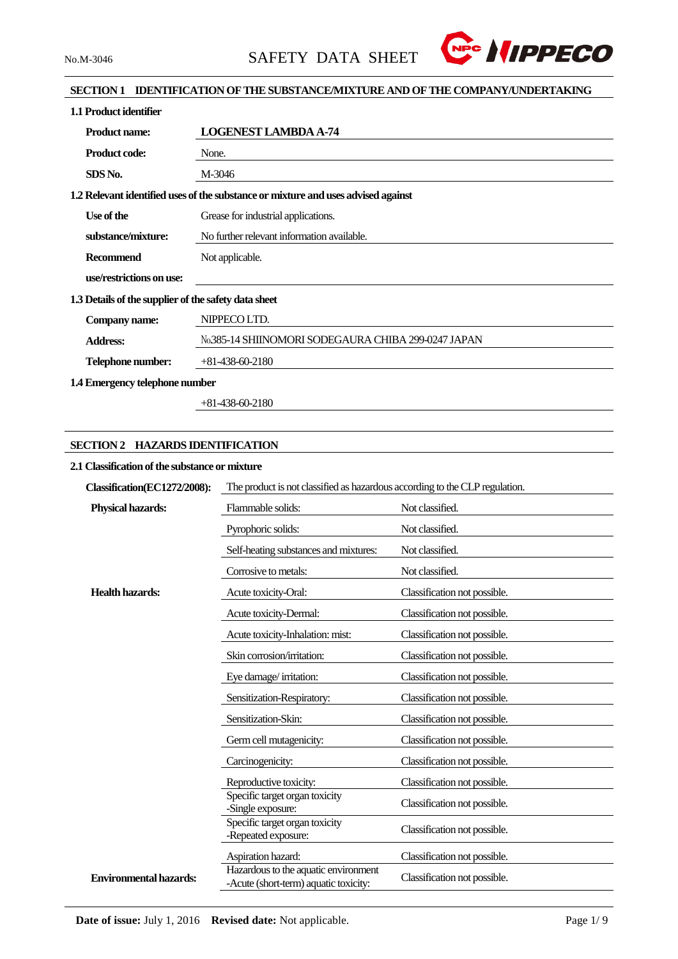

# **SECTION 1 IDENTIFICATION OF THE SUBSTANCE/MIXTURE AND OF THE COMPANY/UNDERTAKING**

| 1.1 Product identifier                               |                                                                                   |  |  |  |
|------------------------------------------------------|-----------------------------------------------------------------------------------|--|--|--|
| <b>Product name:</b>                                 | <b>LOGENEST LAMBDA A-74</b>                                                       |  |  |  |
| <b>Product code:</b>                                 | None.                                                                             |  |  |  |
| SDS No.                                              | M-3046                                                                            |  |  |  |
|                                                      | 1.2 Relevant identified uses of the substance or mixture and uses advised against |  |  |  |
| Use of the                                           | Grease for industrial applications.                                               |  |  |  |
| substance/mixture:                                   | No further relevant information available.                                        |  |  |  |
| <b>Recommend</b>                                     | Not applicable.                                                                   |  |  |  |
| use/restrictions on use:                             |                                                                                   |  |  |  |
| 1.3 Details of the supplier of the safety data sheet |                                                                                   |  |  |  |
| Company name:                                        | NIPPECO LTD.                                                                      |  |  |  |
| <b>Address:</b>                                      | No.385-14 SHIINOMORI SODEGAURA CHIBA 299-0247 JAPAN                               |  |  |  |
| Telephone number:                                    | $+81-438-60-2180$                                                                 |  |  |  |
| 1.4 Emergency telephone number                       |                                                                                   |  |  |  |

+81-438-60-2180

# **SECTION 2 HAZARDS IDENTIFICATION**

## **2.1 Classification of the substance or mixture**

| Classification(EC1272/2008):  | The product is not classified as hazardous according to the CLP regulation.   |                              |  |  |
|-------------------------------|-------------------------------------------------------------------------------|------------------------------|--|--|
| <b>Physical hazards:</b>      | Flammable solids:                                                             | Not classified.              |  |  |
|                               | Pyrophoric solids:                                                            | Not classified.              |  |  |
|                               | Self-heating substances and mixtures:                                         | Not classified.              |  |  |
|                               | Corrosive to metals:                                                          | Not classified.              |  |  |
| <b>Health hazards:</b>        | Acute toxicity-Oral:                                                          | Classification not possible. |  |  |
|                               | Acute toxicity-Dermal:                                                        | Classification not possible. |  |  |
|                               | Acute toxicity-Inhalation: mist:                                              | Classification not possible. |  |  |
|                               | Skin corrosion/irritation:                                                    | Classification not possible. |  |  |
|                               | Eye damage/irritation:                                                        | Classification not possible. |  |  |
|                               | Sensitization-Respiratory:                                                    | Classification not possible. |  |  |
|                               | Sensitization-Skin:                                                           | Classification not possible. |  |  |
|                               | Germ cell mutagenicity:                                                       | Classification not possible. |  |  |
|                               | Carcinogenicity:                                                              | Classification not possible. |  |  |
|                               | Reproductive toxicity:                                                        | Classification not possible. |  |  |
|                               | Specific target organ toxicity<br>-Single exposure:                           | Classification not possible. |  |  |
|                               | Specific target organ toxicity<br>-Repeated exposure:                         | Classification not possible. |  |  |
|                               | Aspiration hazard:                                                            | Classification not possible. |  |  |
| <b>Environmental hazards:</b> | Hazardous to the aquatic environment<br>-Acute (short-term) aquatic toxicity: | Classification not possible. |  |  |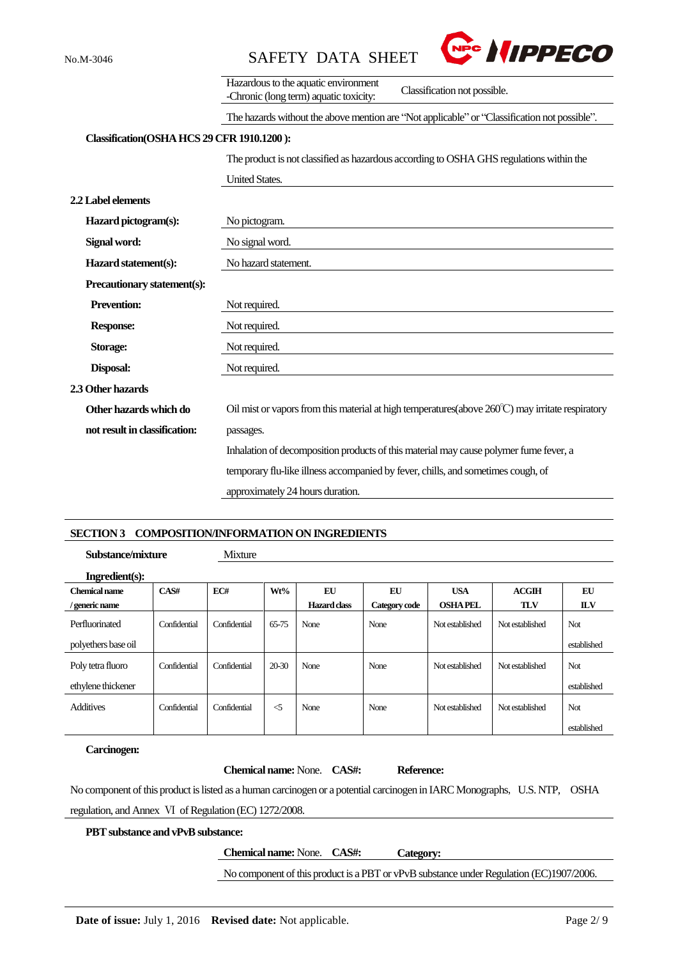

|                                            | Hazardous to the aquatic environment<br>Classification not possible.<br>-Chronic (long term) aquatic toxicity: |  |  |  |
|--------------------------------------------|----------------------------------------------------------------------------------------------------------------|--|--|--|
|                                            | The hazards without the above mention are "Not applicable" or "Classification not possible".                   |  |  |  |
| Classification(OSHA HCS 29 CFR 1910.1200): |                                                                                                                |  |  |  |
|                                            | The product is not classified as hazardous according to OSHA GHS regulations within the                        |  |  |  |
|                                            | <b>United States.</b>                                                                                          |  |  |  |
| 2.2 Label elements                         |                                                                                                                |  |  |  |
| Hazard pictogram(s):                       | No pictogram.                                                                                                  |  |  |  |
| Signal word:                               | No signal word.                                                                                                |  |  |  |
| Hazard statement(s):                       | No hazard statement.                                                                                           |  |  |  |
| Precautionary statement(s):                |                                                                                                                |  |  |  |
| <b>Prevention:</b>                         | Not required.                                                                                                  |  |  |  |
| <b>Response:</b>                           | Not required.                                                                                                  |  |  |  |
| Storage:                                   | Not required.                                                                                                  |  |  |  |
| Disposal:                                  | Not required.                                                                                                  |  |  |  |
| 2.3 Other hazards                          |                                                                                                                |  |  |  |
| Other hazards which do                     | Oil mist or vapors from this material at high temperatures (above $260^{\circ}$ C) may irritate respiratory    |  |  |  |
| not result in classification:              | passages.                                                                                                      |  |  |  |
|                                            | Inhalation of decomposition products of this material may cause polymer fume fever, a                          |  |  |  |
|                                            | temporary flu-like illness accompanied by fever, chills, and sometimes cough, of                               |  |  |  |
|                                            | approximately 24 hours duration.                                                                               |  |  |  |
|                                            |                                                                                                                |  |  |  |

### **SECTION 3 COMPOSITION/INFORMATION ON INGREDIENTS**

**Substance/mixture** Mixture

| Ingradient(s):       |              |              |          |              |               |                 |                 |             |
|----------------------|--------------|--------------|----------|--------------|---------------|-----------------|-----------------|-------------|
| <b>Chemical name</b> | CAS#         | EC#          | Wt%      | EU           | EU            | <b>USA</b>      | ACGIH           | EU          |
| / generic name       |              |              |          | Hazard class | Category code | <b>OSHA PEL</b> | <b>TLV</b>      | <b>ILV</b>  |
| Perfluorinated       | Confidential | Confidential | 65-75    | None         | None          | Not established | Not established | Not         |
| polyethers base oil  |              |              |          |              |               |                 |                 | established |
| Poly tetra fluoro    | Confidential | Confidential | $20-30$  | None         | None          | Not established | Not established | Not         |
| ethylene thickener   |              |              |          |              |               |                 |                 | established |
| <b>Additives</b>     | Confidential | Confidential | $\leq$ 5 | None         | None          | Not established | Not established | <b>Not</b>  |
|                      |              |              |          |              |               |                 |                 | established |

# **Carcinogen:**

 $\overline{a}$ 

|                                                                                                                           | <b>Chemical name:</b> None. <b>CAS#</b> : | Reference: |  |
|---------------------------------------------------------------------------------------------------------------------------|-------------------------------------------|------------|--|
| No component of this product is listed as a human carcinogen or a potential carcinogen in IARC Monographs, U.S. NTP, OSHA |                                           |            |  |
| regulation, and Annex VI of Regulation (EC) 1272/2008.                                                                    |                                           |            |  |
| <b>PBT</b> substance and vPvB substance:                                                                                  |                                           |            |  |
|                                                                                                                           | <b>Chemical name:</b> None. <b>CAS#</b> : | Category:  |  |

No component of this product is a PBT or vPvB substance under Regulation (EC)1907/2006.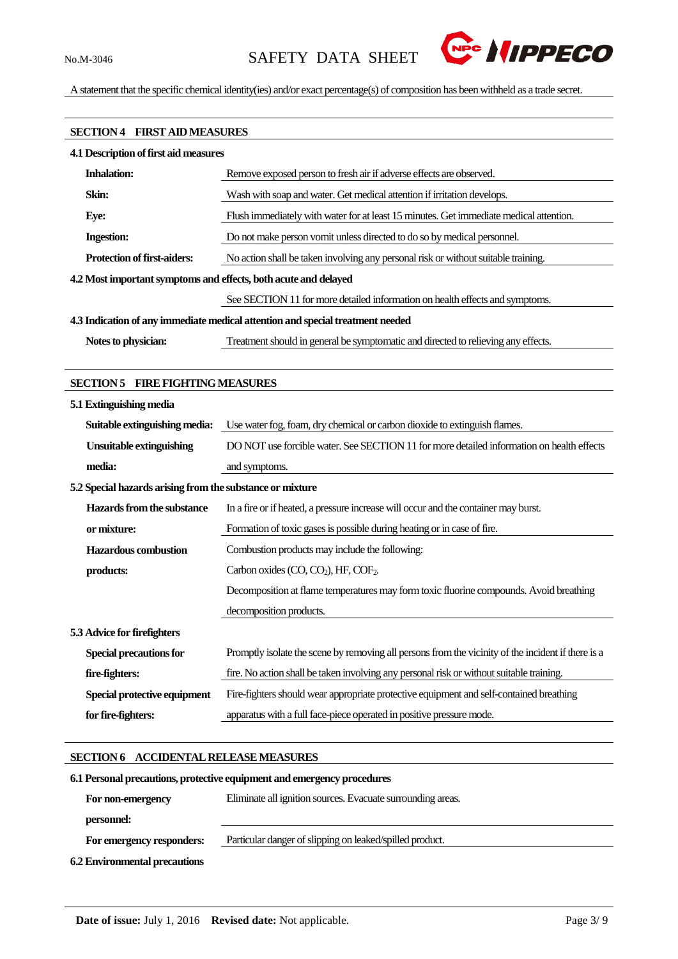

A statement that the specific chemical identity(ies) and/or exact percentage(s) of composition has been withheld as a trade secret.

# **SECTION 4 FIRST AID MEASURES**

| 4.1 Description of first aid measures                                          |                                                                                        |  |  |
|--------------------------------------------------------------------------------|----------------------------------------------------------------------------------------|--|--|
| <b>Inhalation:</b>                                                             | Remove exposed person to fresh air if adverse effects are observed.                    |  |  |
| Skin:                                                                          | Wash with soap and water. Get medical attention if irritation develops.                |  |  |
| Eye:                                                                           | Flush immediately with water for at least 15 minutes. Get immediate medical attention. |  |  |
| <b>Ingestion:</b>                                                              | Do not make person vomit unless directed to do so by medical personnel.                |  |  |
| <b>Protection of first-aiders:</b>                                             | No action shall be taken involving any personal risk or without suitable training.     |  |  |
| 4.2 Most important symptoms and effects, both acute and delayed                |                                                                                        |  |  |
|                                                                                | See SECTION 11 for more detailed information on health effects and symptoms.           |  |  |
| 4.3 Indication of any immediate medical attention and special treatment needed |                                                                                        |  |  |
| Notes to physician:                                                            | Treatment should in general be symptomatic and directed to relieving any effects.      |  |  |
|                                                                                |                                                                                        |  |  |

## **SECTION 5 FIRE FIGHTING MEASURES**

| 5.1 Extinguishing media                                   |                                                                                                    |  |  |  |
|-----------------------------------------------------------|----------------------------------------------------------------------------------------------------|--|--|--|
| Suitable extinguishing media:                             | Use water fog, foam, dry chemical or carbon dioxide to extinguish flames.                          |  |  |  |
| <b>Unsuitable extinguishing</b>                           | DO NOT use forcible water. See SECTION 11 for more detailed information on health effects          |  |  |  |
| media:                                                    | and symptoms.                                                                                      |  |  |  |
| 5.2 Special hazards arising from the substance or mixture |                                                                                                    |  |  |  |
| Hazards from the substance                                | In a fire or if heated, a pressure increase will occur and the container may burst.                |  |  |  |
| or mixture:                                               | Formation of toxic gases is possible during heating or in case of fire.                            |  |  |  |
| <b>Hazardous combustion</b>                               | Combustion products may include the following:                                                     |  |  |  |
| products:                                                 | Carbon oxides $(CO, CO2)$ , HF, $COF2$ .                                                           |  |  |  |
|                                                           | Decomposition at flame temperatures may form toxic fluorine compounds. Avoid breathing             |  |  |  |
|                                                           | decomposition products.                                                                            |  |  |  |
| 5.3 Advice for firefighters                               |                                                                                                    |  |  |  |
| <b>Special precautions for</b>                            | Promptly isolate the scene by removing all persons from the vicinity of the incident if there is a |  |  |  |
| fire-fighters:                                            | fire. No action shall be taken involving any personal risk or without suitable training.           |  |  |  |
| Special protective equipment                              | Fire-fighters should wear appropriate protective equipment and self-contained breathing            |  |  |  |
| for fire-fighters:                                        | apparatus with a full face-piece operated in positive pressure mode.                               |  |  |  |

### **SECTION 6 ACCIDENTAL RELEASE MEASURES**

# **6.1Personal precautions, protective equipment and emergency procedures For non-emergency personnel:** Eliminate all ignition sources. Evacuate surrounding areas.  **For emergency responders:** Particular danger of slipping on leaked/spilled product. **6.2 Environmental precautions**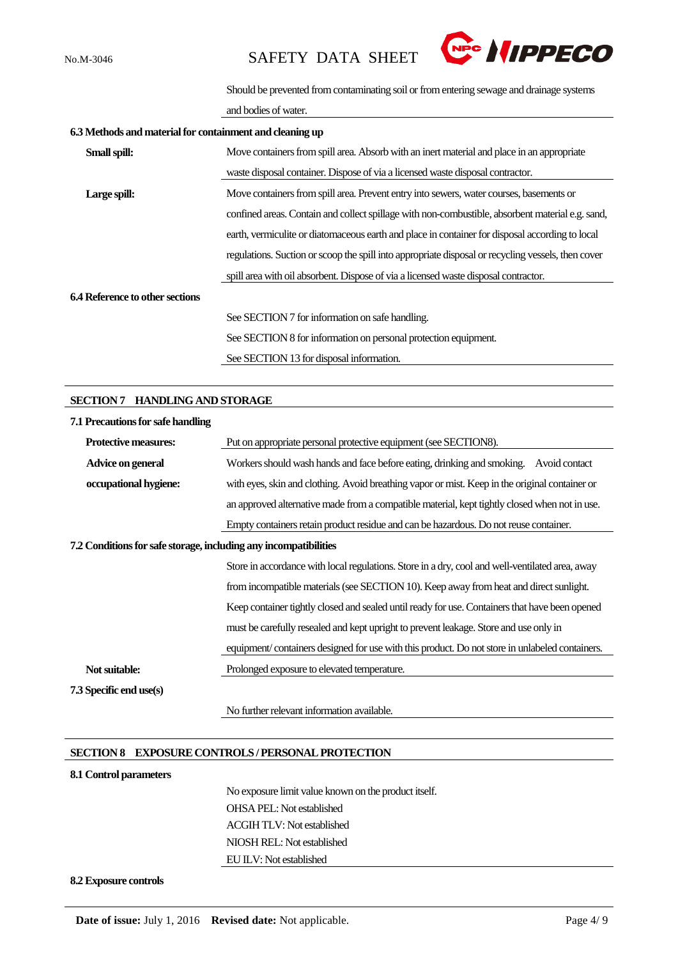

Should be prevented from contaminating soil or from entering sewage and drainage systems

and bodies of water.

| 6.3 Methods and material for containment and cleaning up |                                                                                                    |  |  |  |
|----------------------------------------------------------|----------------------------------------------------------------------------------------------------|--|--|--|
| Small spill:                                             | Move containers from spill area. Absorb with an inert material and place in an appropriate         |  |  |  |
|                                                          | waste disposal container. Dispose of via a licensed waste disposal contractor.                     |  |  |  |
| Large spill:                                             | Move containers from spill area. Prevent entry into sewers, water courses, basements or            |  |  |  |
|                                                          | confined areas. Contain and collect spillage with non-combustible, absorbent material e.g. sand,   |  |  |  |
|                                                          | earth, vermiculite or diatomaceous earth and place in container for disposal according to local    |  |  |  |
|                                                          | regulations. Suction or scoop the spill into appropriate disposal or recycling vessels, then cover |  |  |  |
|                                                          | spill area with oil absorbent. Dispose of via a licensed waste disposal contractor.                |  |  |  |
| 6.4 Reference to other sections                          |                                                                                                    |  |  |  |
|                                                          | See SECTION 7 for information on safe handling.                                                    |  |  |  |
|                                                          | See SECTION 8 for information on personal protection equipment.                                    |  |  |  |
|                                                          | See SECTION 13 for disposal information.                                                           |  |  |  |

#### **SECTION 7 HANDLING AND STORAGE**

| 7.1 Precautions for safe handling                                |                                                                                                 |
|------------------------------------------------------------------|-------------------------------------------------------------------------------------------------|
| <b>Protective measures:</b>                                      | Put on appropriate personal protective equipment (see SECTION8).                                |
| Advice on general                                                | Workers should wash hands and face before eating, drinking and smoking.<br>Avoid contact        |
| occupational hygiene:                                            | with eyes, skin and clothing. Avoid breathing vapor or mist. Keep in the original container or  |
|                                                                  | an approved alternative made from a compatible material, kept tightly closed when not in use.   |
|                                                                  | Empty containers retain product residue and can be hazardous. Do not reuse container.           |
| 7.2 Conditions for safe storage, including any incompatibilities |                                                                                                 |
|                                                                  | Store in accordance with local regulations. Store in a dry, cool and well-ventilated area, away |
|                                                                  | from incompatible materials (see SECTION 10). Keep away from heat and direct sunlight.          |
|                                                                  | Keep container tightly closed and sealed until ready for use. Containers that have been opened  |
|                                                                  | must be carefully resealed and kept upright to prevent leakage. Store and use only in           |
|                                                                  | equipment/containers designed for use with this product. Do not store in unlabeled containers.  |
| Not suitable:                                                    | Prolonged exposure to elevated temperature.                                                     |
| 7.3 Specific end use(s)                                          |                                                                                                 |
|                                                                  | No further relevant information available.                                                      |

#### **SECTION 8 EXPOSURE CONTROLS / PERSONAL PROTECTION**

#### **8.1 Control parameters**

No exposure limit value known on the product itself. OHSA PEL: Not established ACGIH TLV: Not established NIOSH REL: Not established EU ILV: Not established

#### **8.2 Exposure controls**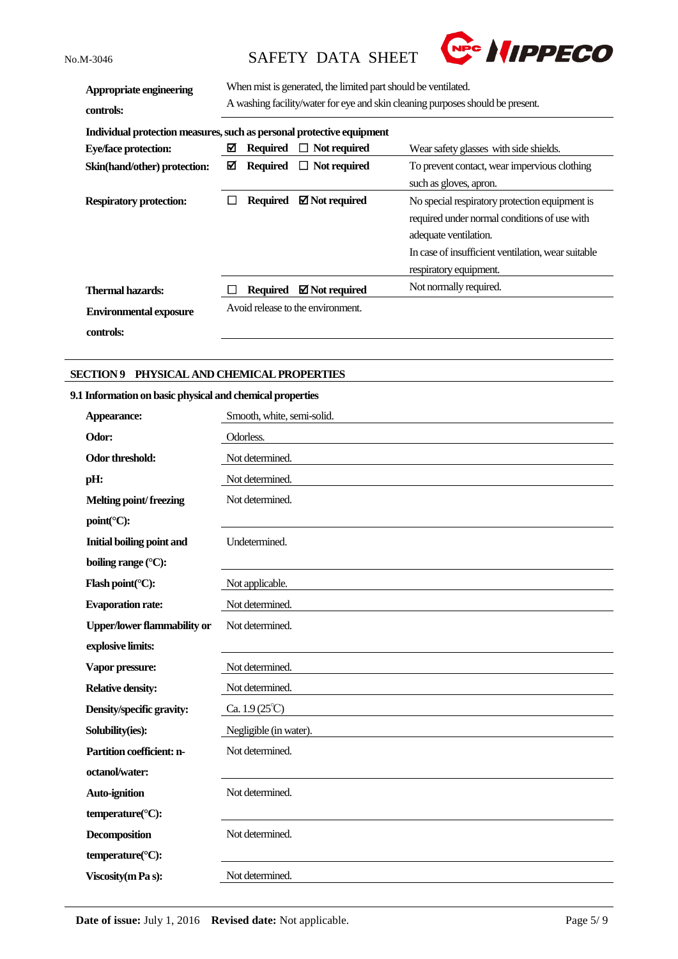

| Appropriate engineering<br>controls:                                  | When mist is generated, the limited part should be ventilated.<br>A washing facility/water for eye and skin cleaning purposes should be present. |                 |                                   |                                                                                                                                                                                                         |
|-----------------------------------------------------------------------|--------------------------------------------------------------------------------------------------------------------------------------------------|-----------------|-----------------------------------|---------------------------------------------------------------------------------------------------------------------------------------------------------------------------------------------------------|
| Individual protection measures, such as personal protective equipment |                                                                                                                                                  |                 |                                   |                                                                                                                                                                                                         |
| <b>Eye/face protection:</b>                                           | ⊠                                                                                                                                                | <b>Required</b> | $\Box$ Not required               | Wear safety glasses with side shields.                                                                                                                                                                  |
| Skin(hand/other) protection:                                          | ⊠                                                                                                                                                | Required        | $\Box$ Not required               | To prevent contact, wear impervious clothing                                                                                                                                                            |
|                                                                       |                                                                                                                                                  |                 |                                   | such as gloves, apron.                                                                                                                                                                                  |
| <b>Respiratory protection:</b>                                        |                                                                                                                                                  | <b>Required</b> | $\boxtimes$ Not required          | No special respiratory protection equipment is<br>required under normal conditions of use with<br>adequate ventilation.<br>In case of insufficient ventilation, wear suitable<br>respiratory equipment. |
| <b>Thermal hazards:</b>                                               |                                                                                                                                                  | <b>Required</b> | $\boxtimes$ Not required          | Not normally required.                                                                                                                                                                                  |
| <b>Environmental exposure</b><br>controls:                            |                                                                                                                                                  |                 | Avoid release to the environment. |                                                                                                                                                                                                         |

# **SECTION 9 PHYSICAL AND CHEMICAL PROPERTIES**

# **9.1 Information on basic physical and chemical properties**

| Appearance:                        | Smooth, white, semi-solid. |
|------------------------------------|----------------------------|
| Odor:                              | Odorless.                  |
| Odor threshold:                    | Not determined.            |
| pH:                                | Not determined.            |
| <b>Melting point/freezing</b>      | Not determined.            |
| point(°C):                         |                            |
| <b>Initial boiling point and</b>   | Undetermined.              |
| boiling range $(°C)$ :             |                            |
| Flash point( $°C$ ):               | Not applicable.            |
| <b>Evaporation rate:</b>           | Not determined.            |
| <b>Upper/lower flammability or</b> | Not determined.            |
| explosive limits:                  |                            |
| Vapor pressure:                    | Not determined.            |
| <b>Relative density:</b>           | Not determined.            |
| Density/specific gravity:          | Ca. $1.9(25^{\circ}C)$     |
| Solubility(ies):                   | Negligible (in water).     |
| Partition coefficient: n-          | Not determined.            |
| octanol/water:                     |                            |
| <b>Auto-ignition</b>               | Not determined.            |
| temperature(°C):                   |                            |
| <b>Decomposition</b>               | Not determined.            |
| temperature(°C):                   |                            |
| <b>Viscosity</b> (m Pa s):         | Not determined.            |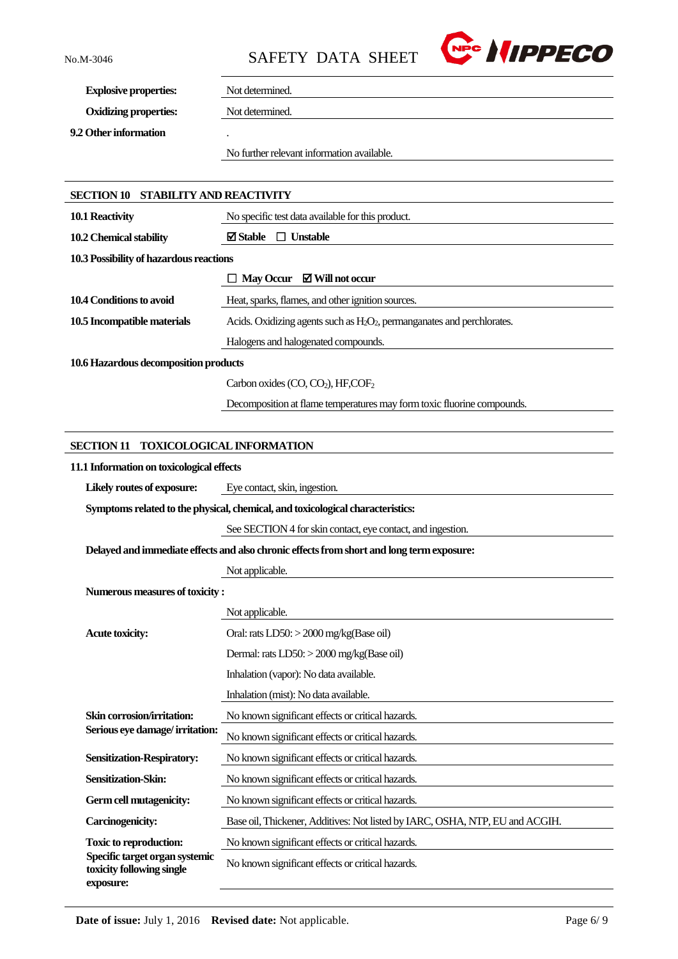

**Explosive properties:** Not determined.

**Oxidizing properties:** Not determined.

**9.2 Other information** .

No further relevant information available.

| <b>SECTION 10 STABILITY AND REACTIVITY</b>                                                |                                                                                |  |  |  |
|-------------------------------------------------------------------------------------------|--------------------------------------------------------------------------------|--|--|--|
| 10.1 Reactivity                                                                           | No specific test data available for this product.                              |  |  |  |
| 10.2 Chemical stability                                                                   | $\boxtimes$ Stable<br>$\Box$ Unstable                                          |  |  |  |
| 10.3 Possibility of hazardous reactions                                                   |                                                                                |  |  |  |
|                                                                                           | $\Box$ May Occur $\Box$ Will not occur                                         |  |  |  |
| 10.4 Conditions to avoid                                                                  | Heat, sparks, flames, and other ignition sources.                              |  |  |  |
| 10.5 Incompatible materials                                                               | Acids. Oxidizing agents such as $H_2O_2$ , permanganates and perchlorates.     |  |  |  |
|                                                                                           | Halogens and halogenated compounds.                                            |  |  |  |
| 10.6 Hazardous decomposition products                                                     |                                                                                |  |  |  |
|                                                                                           | Carbon oxides (CO, CO <sub>2</sub> ), HF,COF <sub>2</sub>                      |  |  |  |
|                                                                                           | Decomposition at flame temperatures may form toxic fluorine compounds.         |  |  |  |
|                                                                                           |                                                                                |  |  |  |
| <b>SECTION 11</b>                                                                         | <b>TOXICOLOGICAL INFORMATION</b>                                               |  |  |  |
| 11.1 Information on toxicological effects                                                 |                                                                                |  |  |  |
| Likely routes of exposure:                                                                | Eye contact, skin, ingestion.                                                  |  |  |  |
|                                                                                           | Symptoms related to the physical, chemical, and toxicological characteristics: |  |  |  |
|                                                                                           | See SECTION 4 for skin contact, eye contact, and ingestion.                    |  |  |  |
| Delayed and immediate effects and also chronic effects from short and long term exposure: |                                                                                |  |  |  |
|                                                                                           | Not applicable.                                                                |  |  |  |
| Numerous measures of toxicity:                                                            |                                                                                |  |  |  |
|                                                                                           | Not applicable.                                                                |  |  |  |
| <b>Acute toxicity:</b>                                                                    | Oral: rats LD50: > 2000 mg/kg(Base oil)                                        |  |  |  |
|                                                                                           | Dermal: rats LD50: > 2000 mg/kg(Base oil)                                      |  |  |  |
|                                                                                           | Inhalation (vapor): No data available.                                         |  |  |  |
|                                                                                           | Inhalation (mist): No data available.                                          |  |  |  |
| Skin corrosion/irritation:<br>Serious eye damage/irritation:                              | No known significant effects or critical hazards.                              |  |  |  |
|                                                                                           | No known significant effects or critical hazards.                              |  |  |  |
| <b>Sensitization-Respiratory:</b>                                                         | No known significant effects or critical hazards.                              |  |  |  |
| Sensitization-Skin:                                                                       | No known significant effects or critical hazards.                              |  |  |  |
| Germ cell mutagenicity:                                                                   | No known significant effects or critical hazards.                              |  |  |  |
| Carcinogenicity:                                                                          | Base oil, Thickener, Additives: Not listed by IARC, OSHA, NTP, EU and ACGIH.   |  |  |  |
| <b>Toxic to reproduction:</b>                                                             | No known significant effects or critical hazards.                              |  |  |  |
| Specific target organ systemic<br>toxicity following single<br>exposure:                  | No known significant effects or critical hazards.                              |  |  |  |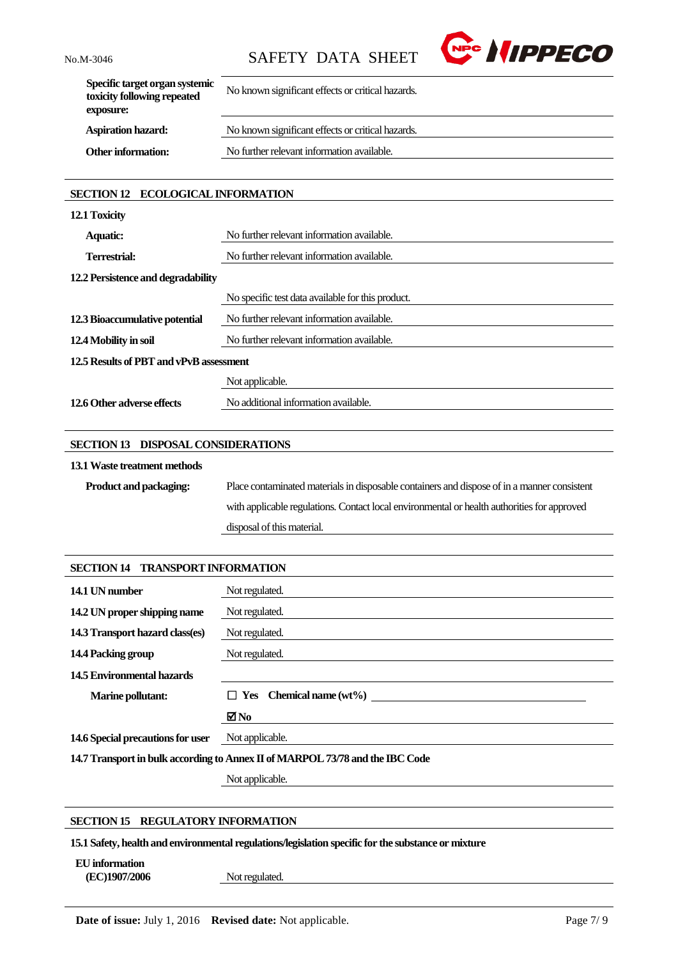

| Specific target organ systemic<br>toxicity following repeated<br>exposure: | No known significant effects or critical hazards. |
|----------------------------------------------------------------------------|---------------------------------------------------|
| <b>Aspiration hazard:</b>                                                  | No known significant effects or critical hazards. |
| <b>Other information:</b>                                                  | No further relevant information available.        |
|                                                                            |                                                   |

# **SECTION 12 ECOLOGICAL INFORMATION**

| 12.1 Toxicity                           |                                                   |  |
|-----------------------------------------|---------------------------------------------------|--|
| <b>Aquatic:</b>                         | No further relevant information available.        |  |
| Terrestrial:                            | No further relevant information available.        |  |
| 12.2 Persistence and degradability      |                                                   |  |
|                                         | No specific test data available for this product. |  |
| 12.3 Bioaccumulative potential          | No further relevant information available.        |  |
| 12.4 Mobility in soil                   | No further relevant information available.        |  |
| 12.5 Results of PBT and vPvB assessment |                                                   |  |
|                                         | Not applicable.                                   |  |
| 12.6 Other adverse effects              | No additional information available.              |  |

# **SECTION 13 DISPOSAL CONSIDERATIONS**

#### **13.1Waste treatment methods**

| <b>Product and packaging:</b> | Place contaminated materials in disposable containers and dispose of in a manner consistent |
|-------------------------------|---------------------------------------------------------------------------------------------|
|                               | with applicable regulations. Contact local environmental or health authorities for approved |
|                               | disposal of this material.                                                                  |

| <b>SECTION 14 TRANSPORT INFORMATION</b>                                       |                                |  |
|-------------------------------------------------------------------------------|--------------------------------|--|
| 14.1 UN number                                                                | Not regulated.                 |  |
| 14.2 UN proper shipping name                                                  | Not regulated.                 |  |
| 14.3 Transport hazard class(es)                                               | Not regulated.                 |  |
| 14.4 Packing group                                                            | Not regulated.                 |  |
| 14.5 Environmental hazards                                                    |                                |  |
| <b>Marine pollutant:</b>                                                      | $\Box$ Yes Chemical name (wt%) |  |
|                                                                               | ⊠No                            |  |
| 14.6 Special precautions for user                                             | Not applicable.                |  |
| 14.7 Transport in bulk according to Annex II of MARPOL 73/78 and the IBC Code |                                |  |

Not applicable.

#### **SECTION 15 REGULATORY INFORMATION**

**15.1 Safety, health and environmental regulations/legislation specific for the substance or mixture**

**EU information**

**(EC)1907/2006** Not regulated.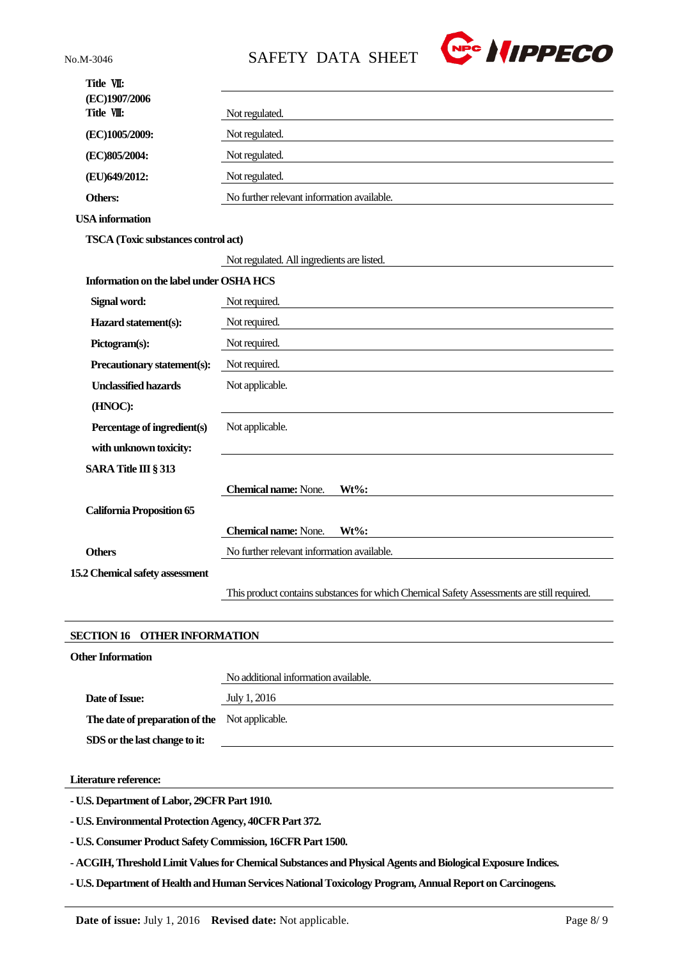

| Title VII:                                    |                                                                                            |  |
|-----------------------------------------------|--------------------------------------------------------------------------------------------|--|
| (EC)1907/2006                                 |                                                                                            |  |
| Title VII:                                    | Not regulated.                                                                             |  |
| (EC)1005/2009:                                | Not regulated.                                                                             |  |
| (EC)805/2004:                                 | Not regulated.                                                                             |  |
| (EU)649/2012:                                 | Not regulated.                                                                             |  |
| Others:                                       | No further relevant information available.                                                 |  |
| <b>USA</b> information                        |                                                                                            |  |
| <b>TSCA</b> (Toxic substances control act)    |                                                                                            |  |
|                                               | Not regulated. All ingredients are listed.                                                 |  |
| Information on the label under OSHA HCS       |                                                                                            |  |
| Signal word:                                  | Not required.                                                                              |  |
| Hazard statement(s):                          | Not required.                                                                              |  |
| Pictogram(s):                                 | Not required.                                                                              |  |
| Precautionary statement(s):                   | Not required.                                                                              |  |
| <b>Unclassified hazards</b>                   | Not applicable.                                                                            |  |
| (HNOC):                                       |                                                                                            |  |
| Percentage of ingredient(s)                   | Not applicable.                                                                            |  |
| with unknown toxicity:                        |                                                                                            |  |
| <b>SARA Title III § 313</b>                   |                                                                                            |  |
|                                               | <b>Chemical name:</b> None.<br>$Wt\%$ :                                                    |  |
| <b>California Proposition 65</b>              |                                                                                            |  |
|                                               | <b>Chemical name:</b> None.<br>$Wt\%$ :                                                    |  |
| <b>Others</b>                                 | No further relevant information available.                                                 |  |
| 15.2 Chemical safety assessment               |                                                                                            |  |
|                                               | This product contains substances for which Chemical Safety Assessments are still required. |  |
|                                               |                                                                                            |  |
| <b>SECTION 16</b><br><b>OTHER INFORMATION</b> |                                                                                            |  |
| <b>Other Information</b>                      |                                                                                            |  |
|                                               | No additional information available.                                                       |  |

**Date of Issue:** July 1, 2016

**The date of preparation of the**  Not applicable.

**SDS or the last change to it:**

**Literature reference:**

**- U.S. Department of Labor, 29CFR Part 1910.**

**- U.S. Environmental Protection Agency, 40CFR Part 372.**

**- U.S. Consumer Product Safety Commission, 16CFR Part 1500.**

**- ACGIH, Threshold Limit Values for Chemical Substances and Physical Agents and Biological Exposure Indices.**

**- U.S. Department of Health and Human Services National Toxicology Program, Annual Report on Carcinogens.**